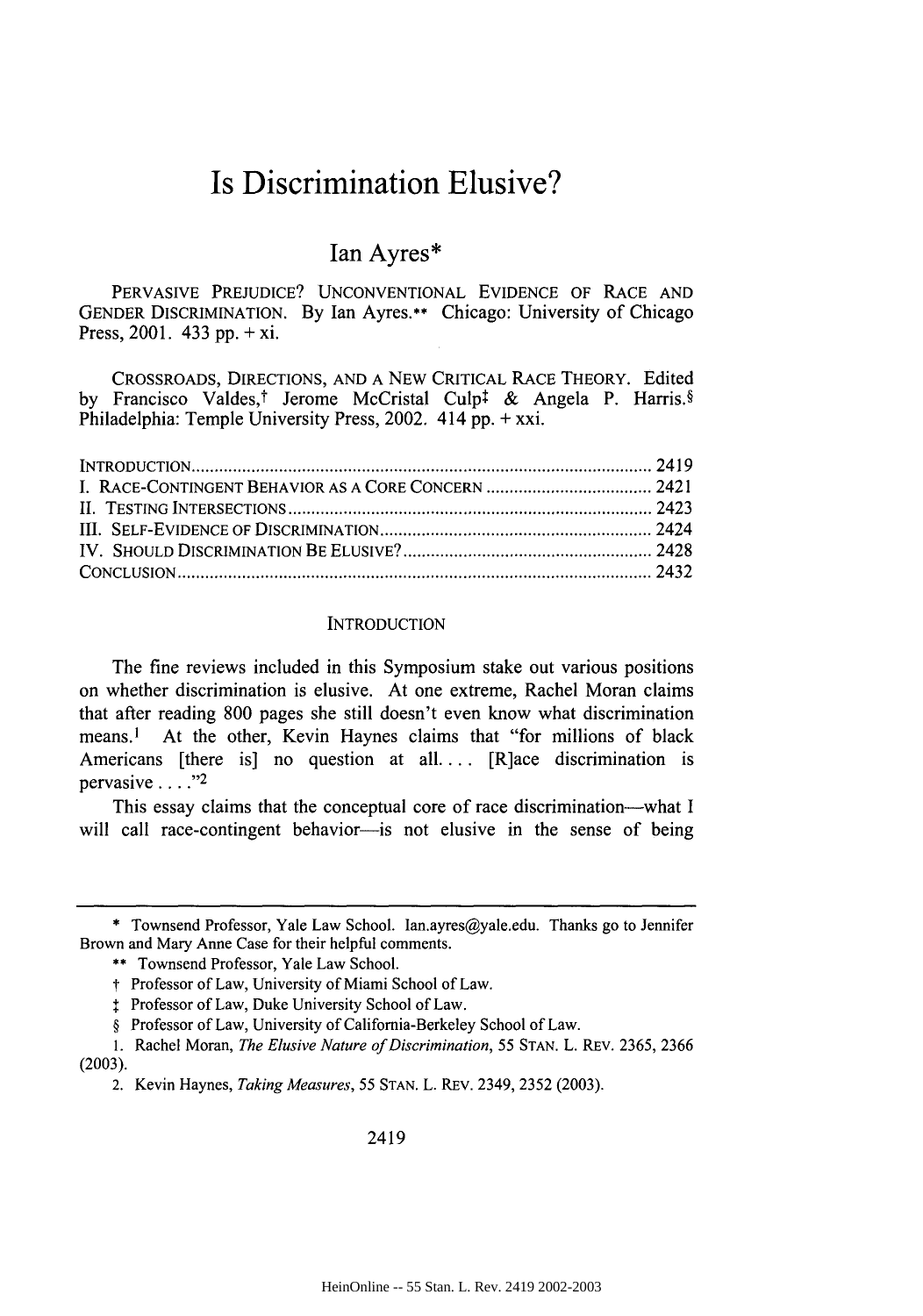# **Is Discrimination Elusive?**

# Ian Ayres\*

PERVASIVE PREJUDICE? UNCONVENTIONAL EVIDENCE OF RACE AND GENDER DISCRIMINATION. By Ian Ayres.\*\* Chicago: University of Chicago Press, 2001. 433 pp. + xi.

CROSSROADS, DIRECTIONS, AND A NEW CRITICAL RACE THEORY. Edited by Francisco Valdes,<sup>†</sup> Jerome McCristal Culp<sup>†</sup> & Angela P. Harris.§ Philadelphia: Temple University Press, 2002. 414 pp. + xxi.

| . 2419 |  |
|--------|--|
|        |  |
|        |  |
|        |  |
|        |  |
|        |  |

#### **INTRODUCTION**

The fine reviews included in this Symposium stake out various positions on whether discrimination is elusive. At one extreme, Rachel Moran claims that after reading **800** pages she still doesn't even know what discrimination means.1 At the other, Kevin Haynes claims that "for millions of black Americans [there is] no question at all **....** [R]ace discrimination is pervasive  $\ldots$  ."2

This essay claims that the conceptual core of race discrimination-what I will call race-contingent behavior-is not elusive in the sense of being

2419

<sup>\*</sup> Townsend Professor, Yale Law School. Ian.ayres@yale.edu. Thanks go to Jennifer Brown and Mary Anne Case for their helpful comments.

<sup>\*\*</sup> Townsend Professor, Yale Law School.

*t* Professor of Law, University of Miami School of Law.

Professor of Law, Duke University School of Law.

<sup>§</sup> Professor of Law, University of California-Berkeley School of Law.

<sup>1.</sup> Rachel Moran, *The Elusive Nature of Discrimination, 55* STAN. L. REv. 2365, 2366

**<sup>(2003).</sup>**

<sup>2.</sup> Kevin Haynes, *Taking Measures, 55* STAN. L. REv. 2349, 2352 (2003).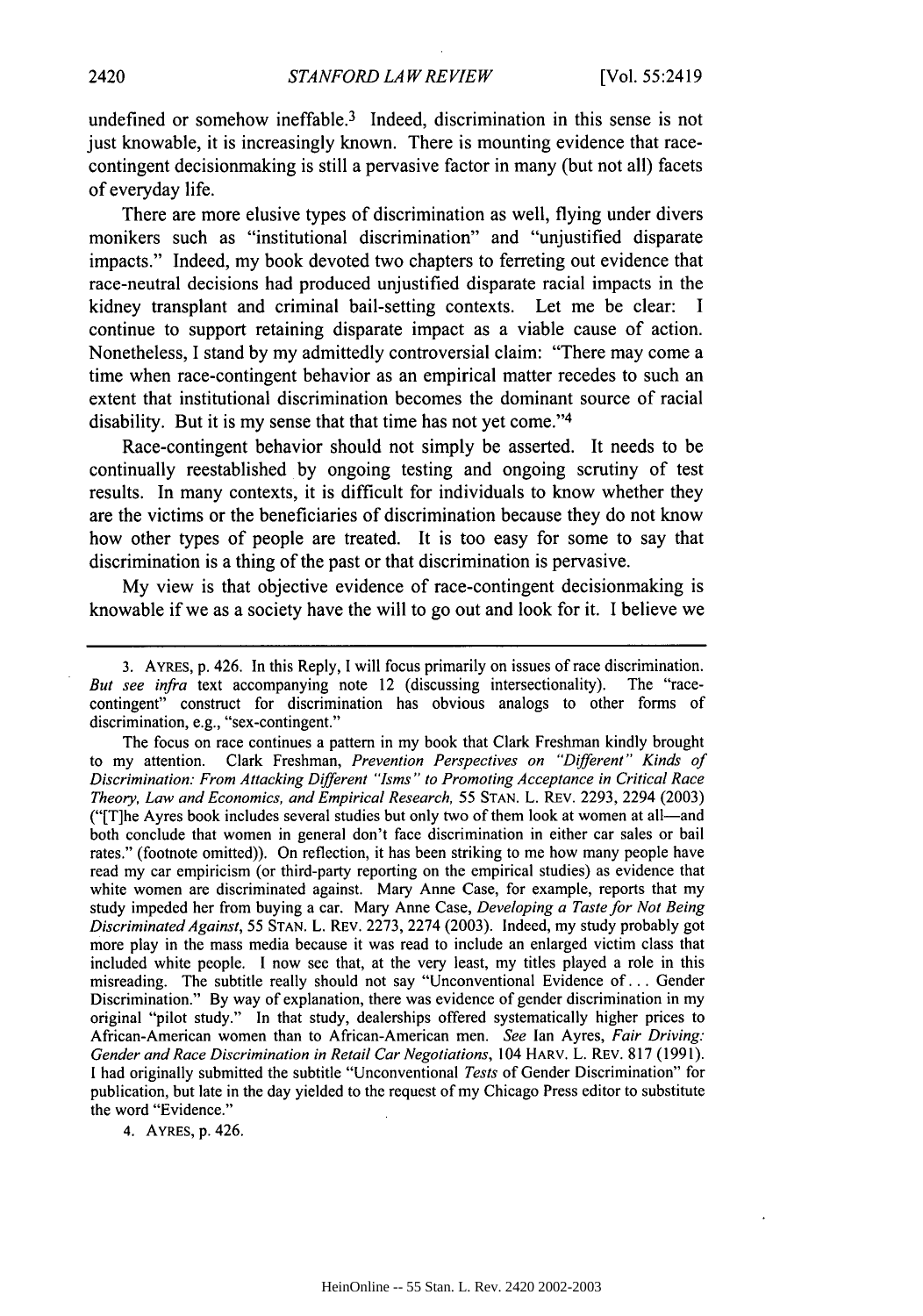undefined or somehow ineffable.<sup>3</sup> Indeed, discrimination in this sense is not just knowable, it is increasingly known. There is mounting evidence that racecontingent decisionmaking is still a pervasive factor in many (but not all) facets of everyday life.

There are more elusive types of discrimination as well, flying under divers monikers such as "institutional discrimination" and "unjustified disparate impacts." Indeed, my book devoted two chapters to ferreting out evidence that race-neutral decisions had produced unjustified disparate racial impacts in the kidney transplant and criminal bail-setting contexts. Let me be clear: I continue to support retaining disparate impact as a viable cause of action. Nonetheless, I stand by my admittedly controversial claim: "There may come a time when race-contingent behavior as an empirical matter recedes to such an extent that institutional discrimination becomes the dominant source of racial disability. But it is my sense that that time has not yet come."<sup>4</sup>

Race-contingent behavior should not simply be asserted. It needs to be continually reestablished by ongoing testing and ongoing scrutiny of test results. In many contexts, it is difficult for individuals to know whether they are the victims or the beneficiaries of discrimination because they do not know how other types of people are treated. It is too easy for some to say that discrimination is a thing of the past or that discrimination is pervasive.

My view is that objective evidence of race-contingent decisionmaking is knowable if we as a society have the will to go out and look for it. I believe we

The focus on race continues a pattern in my book that Clark Freshman kindly brought to my attention. Clark Freshman, *Prevention Perspectives on* "Different" *Kinds of Discrimination: From Attacking Different "Isms" to Promoting Acceptance in Critical Race Theory, Law and Economics, and Empirical Research,* 55 STAN. L. REV. 2293, 2294 (2003) ("[T]he Ayres book includes several studies but only two of them look at women at all-and both conclude that women in general don't face discrimination in either car sales or bail rates." (footnote omitted)). On reflection, it has been striking to me how many people have read my car empiricism (or third-party reporting on the empirical studies) as evidence that white women are discriminated against. Mary Anne Case, for example, reports that my study impeded her from buying a car. Mary Anne Case, *Developing a Taste for Not Being Discriminated Against,* 55 STAN. L. REV. 2273, 2274 (2003). Indeed, my study probably got more play in the mass media because it was read to include an enlarged victim class that included white people. I now see that, at the very least, my titles played a role in this misreading. The subtitle really should not say "Unconventional Evidence of... Gender Discrimination." By way of explanation, there was evidence of gender discrimination in my original "pilot study." In that study, dealerships offered systematically higher prices to African-American women than to African-American men. *See* Ian Ayres, *Fair Driving: Gender and Race Discrimination in Retail Car Negotiations,* 104 HARV. L. REV. 817 (1991). I had originally submitted the subtitle "Unconventional *Tests* of Gender Discrimination" for publication, but late in the day yielded to the request of my Chicago Press editor to substitute the word "Evidence."

4. AYRES, p. 426.

<sup>3.</sup> AYRES, p. 426. In this Reply, I will focus primarily on issues of race discrimination. *But see infra* text accompanying note 12 (discussing intersectionality). The "racecontingent" construct for discrimination has obvious analogs to other forms of discrimination, e.g., "sex-contingent."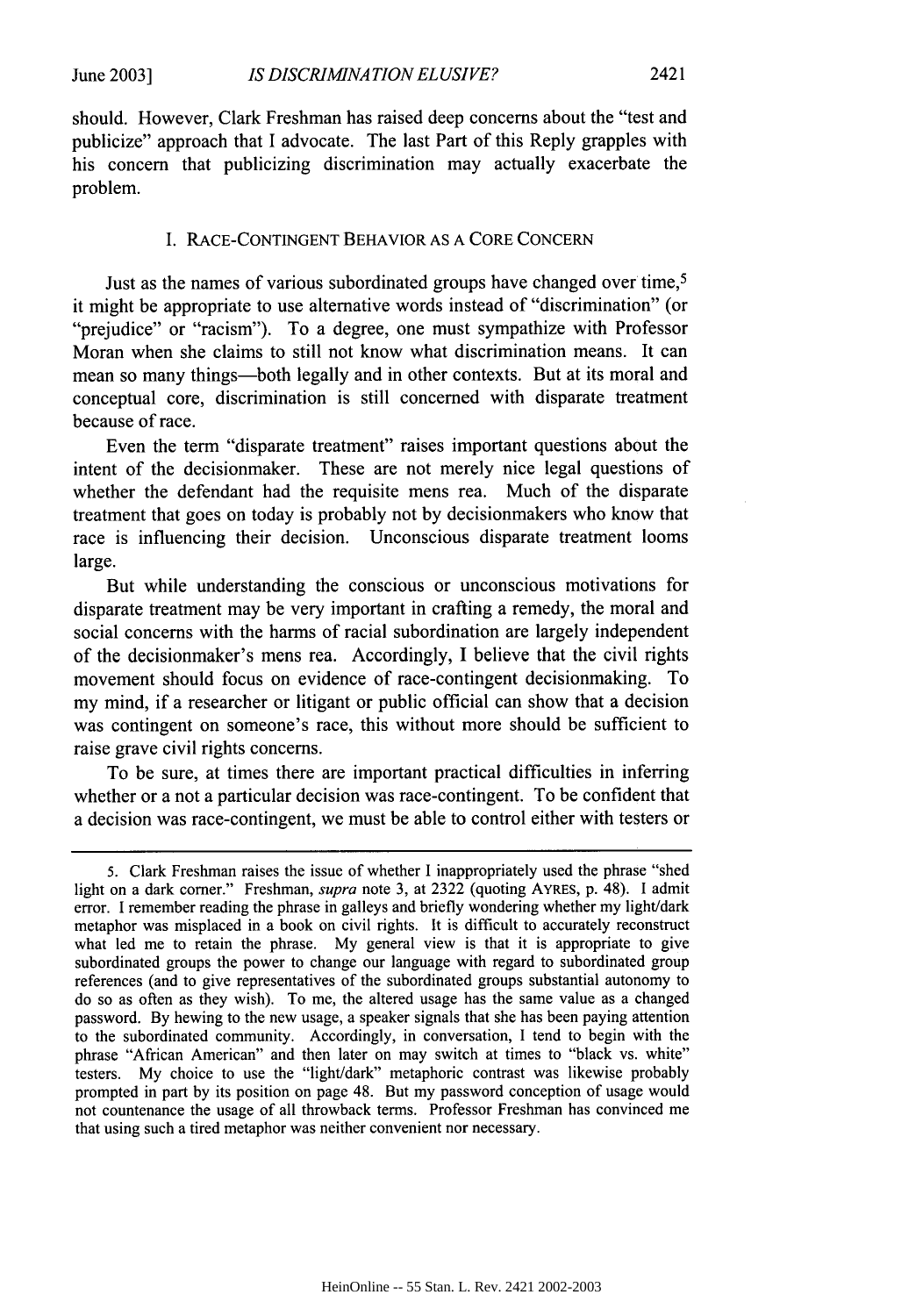should. However, Clark Freshman has raised deep concerns about the "test and publicize" approach that I advocate. The last Part of this Reply grapples with his concern that publicizing discrimination may actually exacerbate the problem.

### I. RACE-CONTINGENT BEHAVIOR AS A CORE CONCERN

Just as the names of various subordinated groups have changed over time,<sup>5</sup> it might be appropriate to use alternative words instead of "discrimination" (or "prejudice" or "racism"). To a degree, one must sympathize with Professor Moran when she claims to still not know what discrimination means. It can mean so many things-both legally and in other contexts. But at its moral and conceptual core, discrimination is still concerned with disparate treatment because of race.

Even the term "disparate treatment" raises important questions about the intent of the decisionmaker. These are not merely nice legal questions of whether the defendant had the requisite mens rea. Much of the disparate treatment that goes on today is probably not by decisionmakers who know that race is influencing their decision. Unconscious disparate treatment looms large.

But while understanding the conscious or unconscious motivations for disparate treatment may be very important in crafting a remedy, the moral and social concerns with the harms of racial subordination are largely independent of the decisionmaker's mens rea. Accordingly, I believe that the civil rights movement should focus on evidence of race-contingent decisionmaking. To my mind, if a researcher or litigant or public official can show that a decision was contingent on someone's race, this without more should be sufficient to raise grave civil rights concerns.

To be sure, at times there are important practical difficulties in inferring whether or a not a particular decision was race-contingent. To be confident that a decision was race-contingent, we must be able to control either with testers or

<sup>5.</sup> Clark Freshman raises the issue of whether I inappropriately used the phrase "shed light on a dark comer." Freshman, *supra* note 3, at 2322 (quoting AYRES, p. 48). I admit error. I remember reading the phrase in galleys and briefly wondering whether my light/dark metaphor was misplaced in a book on civil rights. It is difficult to accurately reconstruct what led me to retain the phrase. My general view is that it is appropriate to give subordinated groups the power to change our language with regard to subordinated group references (and to give representatives of the subordinated groups substantial autonomy to do so as often as they wish). To me, the altered usage has the same value as a changed password. By hewing to the new usage, a speaker signals that she has been paying attention to the subordinated community. Accordingly, in conversation, I tend to begin with the phrase "African American" and then later on may switch at times to "black vs. white" testers. My choice to use the "light/dark" metaphoric contrast was likewise probably prompted in part by its position on page 48. But my password conception of usage would not countenance the usage of all throwback terms. Professor Freshman has convinced me that using such a tired metaphor was neither convenient nor necessary.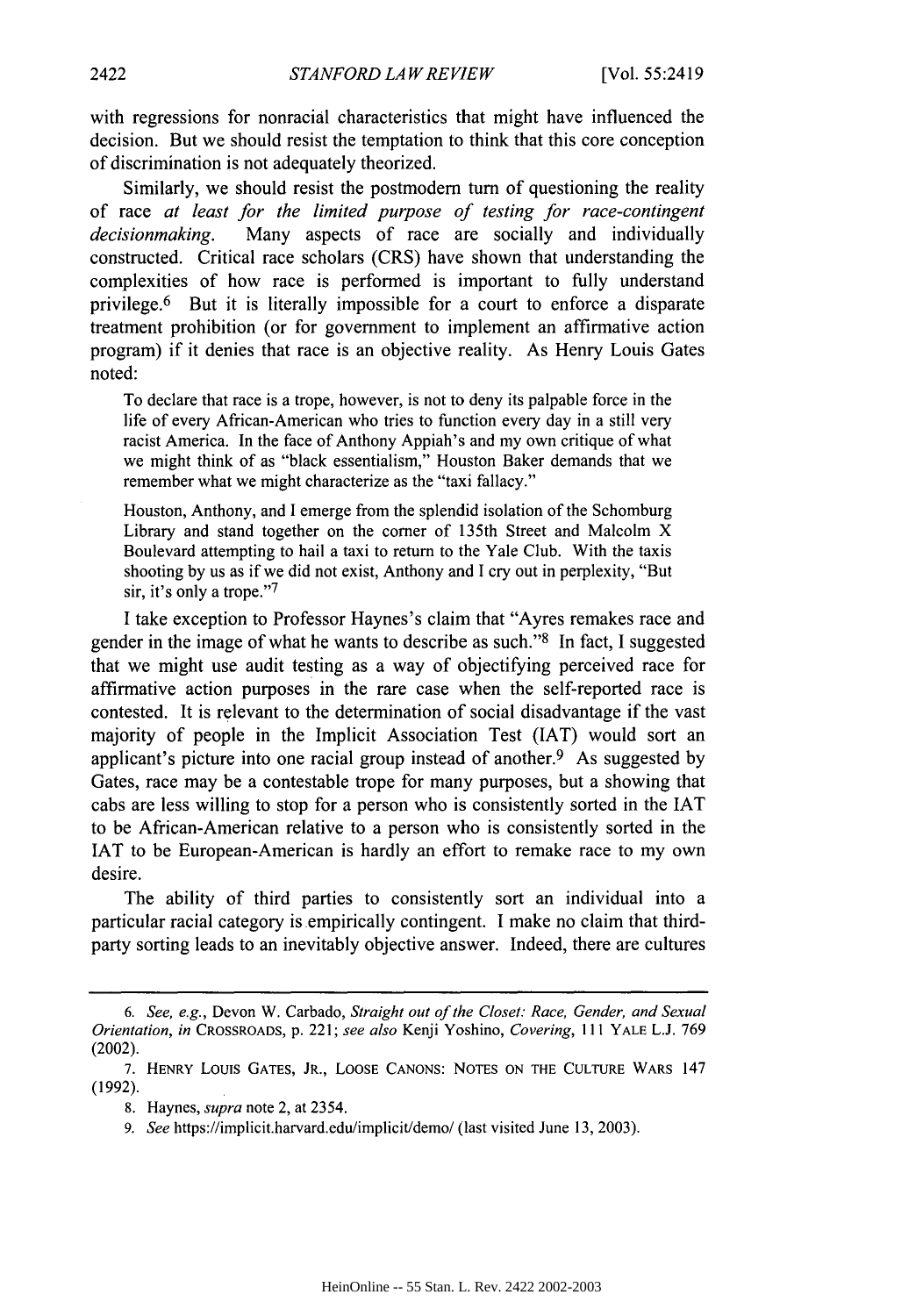with regressions for nonracial characteristics that might have influenced the decision. But we should resist the temptation to think that this core conception of discrimination is not adequately theorized.

Similarly, we should resist the postmodern tum of questioning the reality of race *at least* for *the limited purpose of testing for race-contingent decisionmaking.* Many aspects of race are socially and individually constructed. Critical race scholars (CRS) have shown that understanding the complexities of how race is performed is important to fully understand privilege.<sup>6</sup> But it is literally impossible for a court to enforce a disparate treatment prohibition (or for government to implement an affirmative action program) if it denies that race is an objective reality. As Henry Louis Gates noted:

To declare that race is a trope, however, is not to deny its palpable force in the life of every African-American who tries to function every day in a still very racist America. In the face of Anthony Appiah's and my own critique of what we might think of as "black essentialism," Houston Baker demands that we remember what we might characterize as the "taxi fallacy."

Houston, Anthony, and I emerge from the splendid isolation of the Schomburg Library and stand together on the comer of 135th Street and Malcolm X Boulevard attempting to hail a taxi to return to the Yale Club. With the taxis shooting by us as if we did not exist, Anthony and I cry out in perplexity, "But sir, it's only a trope."<sup>7</sup>

I take exception to Professor Haynes's claim that "Ayres remakes race and gender in the image of what he wants to describe as such."8 In fact, I suggested that we might use audit testing as a way of objectifying perceived race for affirmative action purposes in the rare case when the self-reported race is contested. It is relevant to the determination of social disadvantage if the vast majority of people in the Implicit Association Test (IAT) would sort an applicant's picture into one racial group instead of another.<sup>9</sup> As suggested by Gates, race may be a contestable trope for many purposes, but a showing that cabs are less willing to stop for a person who is consistently sorted in the IAT to be African-American relative to a person who is consistently sorted in the IAT to be European-American is hardly an effort to remake race to my own desire.

The ability of third parties to consistently sort an individual into a particular racial category is empirically contingent. I make no claim that thirdparty sorting leads to an inevitably objective answer. Indeed, there are cultures

*<sup>6.</sup> See, e.g.,* Devon W. Carbado, *Straight out of the Closet: Race, Gender, and Sexual Orientation, in* CROSSROADS, p. 221; *see also* Kenji Yoshino, *Covering,* **111** YALE **L.J. 769** (2002).

**<sup>7.</sup>** HENRY Louis **GATES,** JR., LOOSE CANONS: **NOTES ON** THE **CULTURE** WARS 147 (1992).

**<sup>8.</sup>** Haynes, *supra* note 2, at 2354.

**<sup>9.</sup>** *See* https://implicit.harvard.edu/implicit/demo/ (last visited June 13, 2003).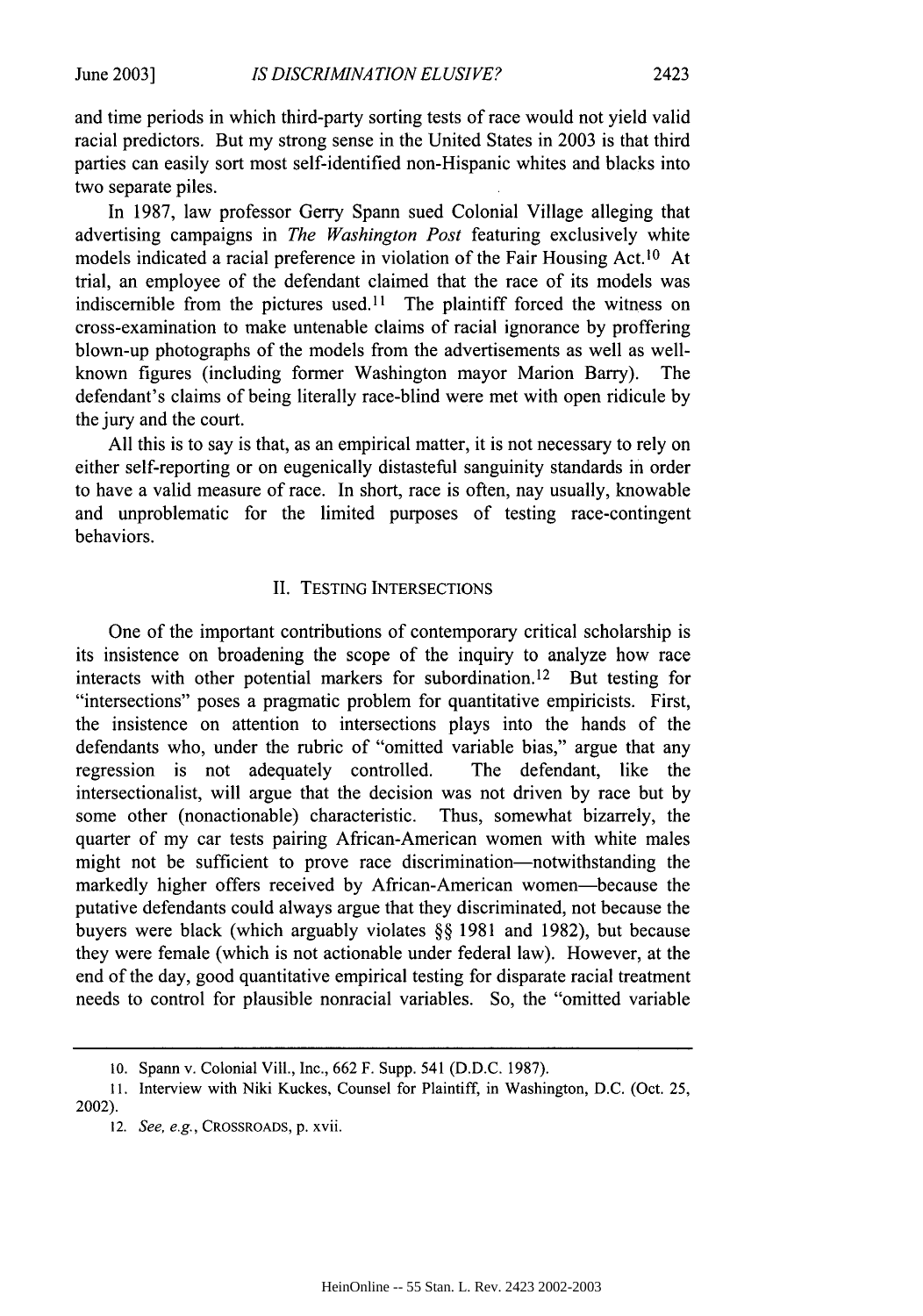and time periods in which third-party sorting tests of race would not yield valid

racial predictors. But my strong sense in the United States in 2003 is that third parties can easily sort most self-identified non-Hispanic whites and blacks into two separate piles.

In 1987, law professor Gerry Spann sued Colonial Village alleging that advertising campaigns in *The Washington Post* featuring exclusively white models indicated a racial preference in violation of the Fair Housing Act.<sup>10</sup> At trial, an employee of the defendant claimed that the race of its models was indiscernible from the pictures used.<sup>11</sup> The plaintiff forced the witness on cross-examination to make untenable claims of racial ignorance by proffering blown-up photographs of the models from the advertisements as well as wellknown figures (including former Washington mayor Marion Barry). The defendant's claims of being literally race-blind were met with open ridicule by the jury and the court.

All this is to say is that, as an empirical matter, it is not necessary to rely on either self-reporting or on eugenically distasteful sanguinity standards in order to have a valid measure of race. In short, race is often, nay usually, knowable and unproblematic for the limited purposes of testing race-contingent behaviors.

#### II. TESTING INTERSECTIONS

One of the important contributions of contemporary critical scholarship is its insistence on broadening the scope of the inquiry to analyze how race interacts with other potential markers for subordination.<sup>12</sup> But testing for "intersections" poses a pragmatic problem for quantitative empiricists. First, the insistence on attention to intersections plays into the hands of the defendants who, under the rubric of "omitted variable bias," argue that any regression is not adequately controlled. The defendant, like the intersectionalist, will argue that the decision was not driven by race but by some other (nonactionable) characteristic. Thus, somewhat bizarrely, the quarter of my car tests pairing African-American women with white males might not be sufficient to prove race discrimination—notwithstanding the markedly higher offers received by African-American women-because the putative defendants could always argue that they discriminated, not because the buyers were black (which arguably violates §§ 1981 and 1982), but because they were female (which is not actionable under federal law). However, at the end of the day, good quantitative empirical testing for disparate racial treatment needs to control for plausible nonracial variables. So, the "omitted variable

<sup>10.</sup> Spann v. Colonial Viii., Inc., 662 F. Supp. 541 (D.D.C. 1987).

<sup>11.</sup> Interview with Niki Kuckes, Counsel for Plaintiff, in Washington, D.C. (Oct. 25, 2002).

<sup>12.</sup> See, e.g., CROSSROADS, p. xvii.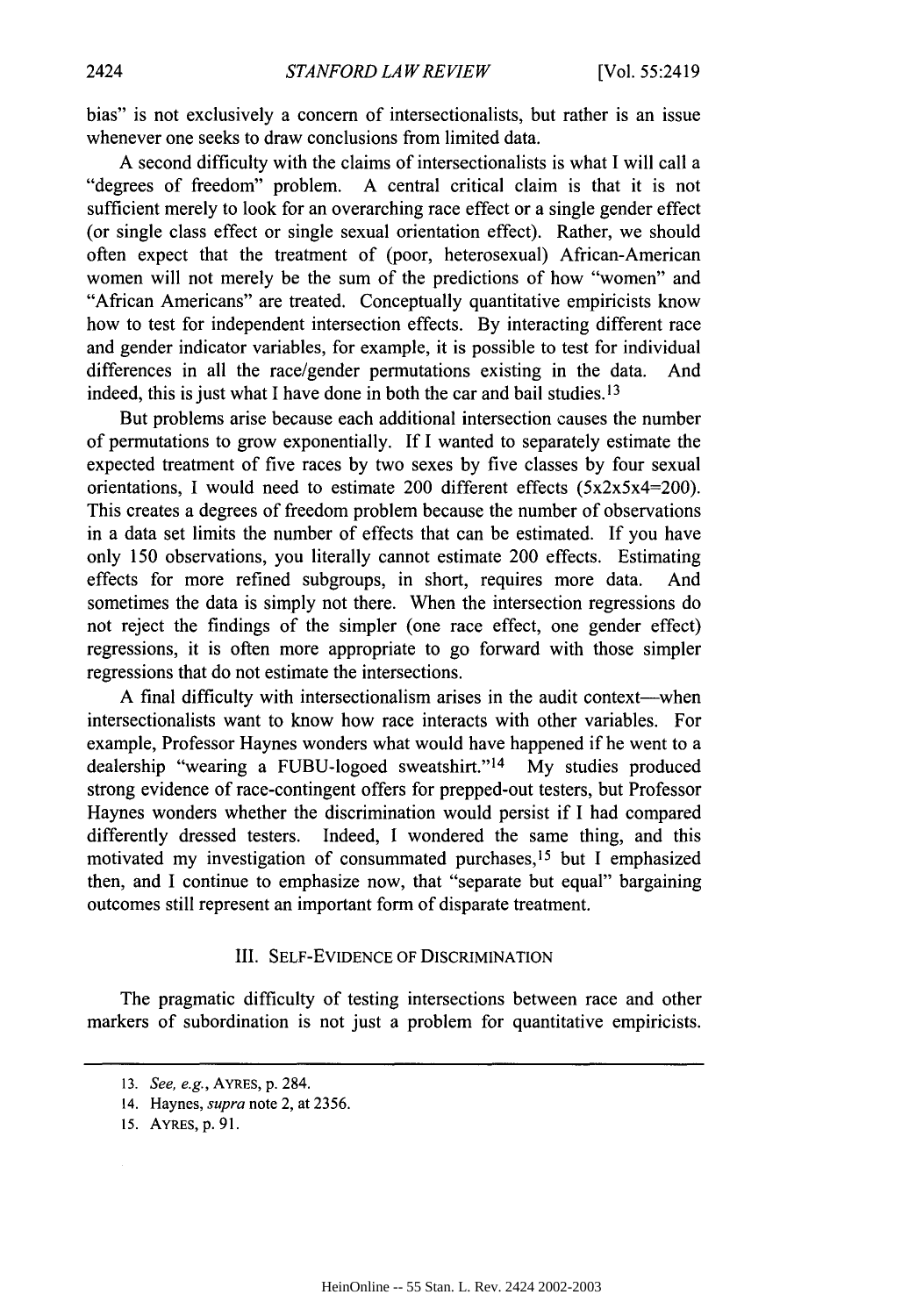bias" is not exclusively a concern of intersectionalists, but rather is an issue whenever one seeks to draw conclusions from limited data.

A second difficulty with the claims of intersectionalists is what I will call a "degrees of freedom" problem. A central critical claim is that it is not sufficient merely to look for an overarching race effect or a single gender effect (or single class effect or single sexual orientation effect). Rather, we should often expect that the treatment of (poor, heterosexual) African-American women will not merely be the sum of the predictions of how "women" and "African Americans" are treated. Conceptually quantitative empiricists know how to test for independent intersection effects. By interacting different race and gender indicator variables, for example, it is possible to test for individual differences in all the race/gender permutations existing in the data. And indeed, this is just what I have done in both the car and bail studies. **13**

But problems arise because each additional intersection causes the number of permutations to grow exponentially. If I wanted to separately estimate the expected treatment of five races by two sexes by five classes by four sexual orientations, I would need to estimate 200 different effects  $(5x2x5x4=200)$ . This creates a degrees of freedom problem because the number of observations in a data set limits the number of effects that can be estimated. If you have only 150 observations, you literally cannot estimate 200 effects. Estimating effects for more refined subgroups, in short, requires more data. And sometimes the data is simply not there. When the intersection regressions do not reject the findings of the simpler (one race effect, one gender effect) regressions, it is often more appropriate to go forward with those simpler regressions that do not estimate the intersections.

A final difficulty with intersectionalism arises in the audit context—when intersectionalists want to know how race interacts with other variables. For example, Professor Haynes wonders what would have happened if he went to a dealership "wearing a FUBU-logoed sweatshirt."<sup>14</sup> My studies produced strong evidence of race-contingent offers for prepped-out testers, but Professor Haynes wonders whether the discrimination would persist if I had compared differently dressed testers. Indeed, I wondered the same thing, and this motivated my investigation of consummated purchases, 15 but I emphasized then, and I continue to emphasize now, that "separate but equal" bargaining outcomes still represent an important form of disparate treatment.

#### III. SELF-EVIDENCE OF DISCRIMINATION

The pragmatic difficulty of testing intersections between race and other markers of subordination is not just a problem for quantitative empiricists.

<sup>13.</sup> *See, e.g.,* AYRES, p. 284.

<sup>14.</sup> Haynes, *supra* note 2, at 2356.

<sup>15.</sup> AYRES, p. **91.**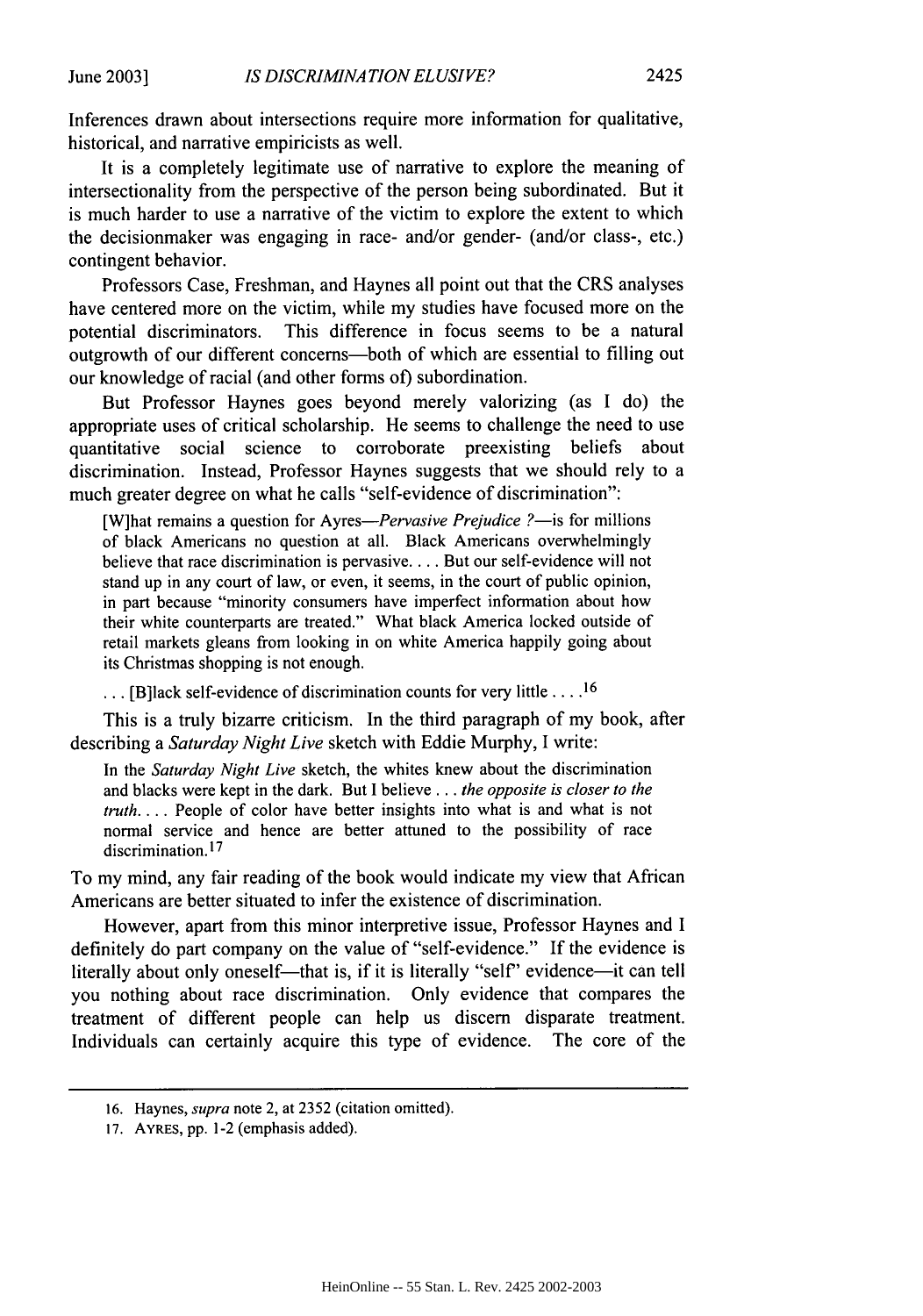Inferences drawn about intersections require more information for qualitative, historical, and narrative empiricists as well.

It is a completely legitimate use of narrative to explore the meaning of intersectionality from the perspective of the person being subordinated. But it is much harder to use a narrative of the victim to explore the extent to which the decisionmaker was engaging in race- and/or gender- (and/or class-, etc.) contingent behavior.

Professors Case, Freshman, and Haynes all point out that the CRS analyses have centered more on the victim, while my studies have focused more on the potential discriminators. This difference in focus seems to be a natural outgrowth of our different concerns-both of which are essential to filling out our knowledge of racial (and other forms of) subordination.

But Professor Haynes goes beyond merely valorizing (as I do) the appropriate uses of critical scholarship. He seems to challenge the need to use quantitative social science to corroborate preexisting beliefs about discrimination. Instead, Professor Haynes suggests that we should rely to a much greater degree on what he calls "self-evidence of discrimination":

[W]hat remains a question for *Ayres-Pervasive Prejudice ?*- is for millions of black Americans no question at all. Black Americans overwhelmingly believe that race discrimination is pervasive .... But our self-evidence will not stand up in any court of law, or even, it seems, in the court of public opinion, in part because "minority consumers have imperfect information about how their white counterparts are treated." What black America locked outside of retail markets gleans from looking in on white America happily going about its Christmas shopping is not enough.

**...** [B]lack self-evidence of discrimination counts for very little ... <sup>16</sup>

This is a truly bizarre criticism. In the third paragraph of my book, after describing a *Saturday Night Live* sketch with Eddie Murphy, I write:

In the *Saturday Night Live* sketch, the whites knew about the discrimination and blacks were kept in the dark. But I believe **...** *the opposite is closer to the truth....* People of color have better insights into what is and what is not normal service and hence are better attuned to the possibility of race discrimination. **17**

To my mind, any fair reading of the book would indicate my view that African Americans are better situated to infer the existence of discrimination.

However, apart from this minor interpretive issue, Professor Haynes and I definitely do part company on the value of "self-evidence." If the evidence is literally about only oneself—that is, if it is literally "self" evidence—it can tell you nothing about race discrimination. Only evidence that compares the treatment of different people can help us discern disparate treatment. Individuals can certainly acquire this type of evidence. The core of the

<sup>16.</sup> Haynes, *supra* note 2, at 2352 (citation omitted).

<sup>17.</sup> AYREs, pp. 1-2 (emphasis added).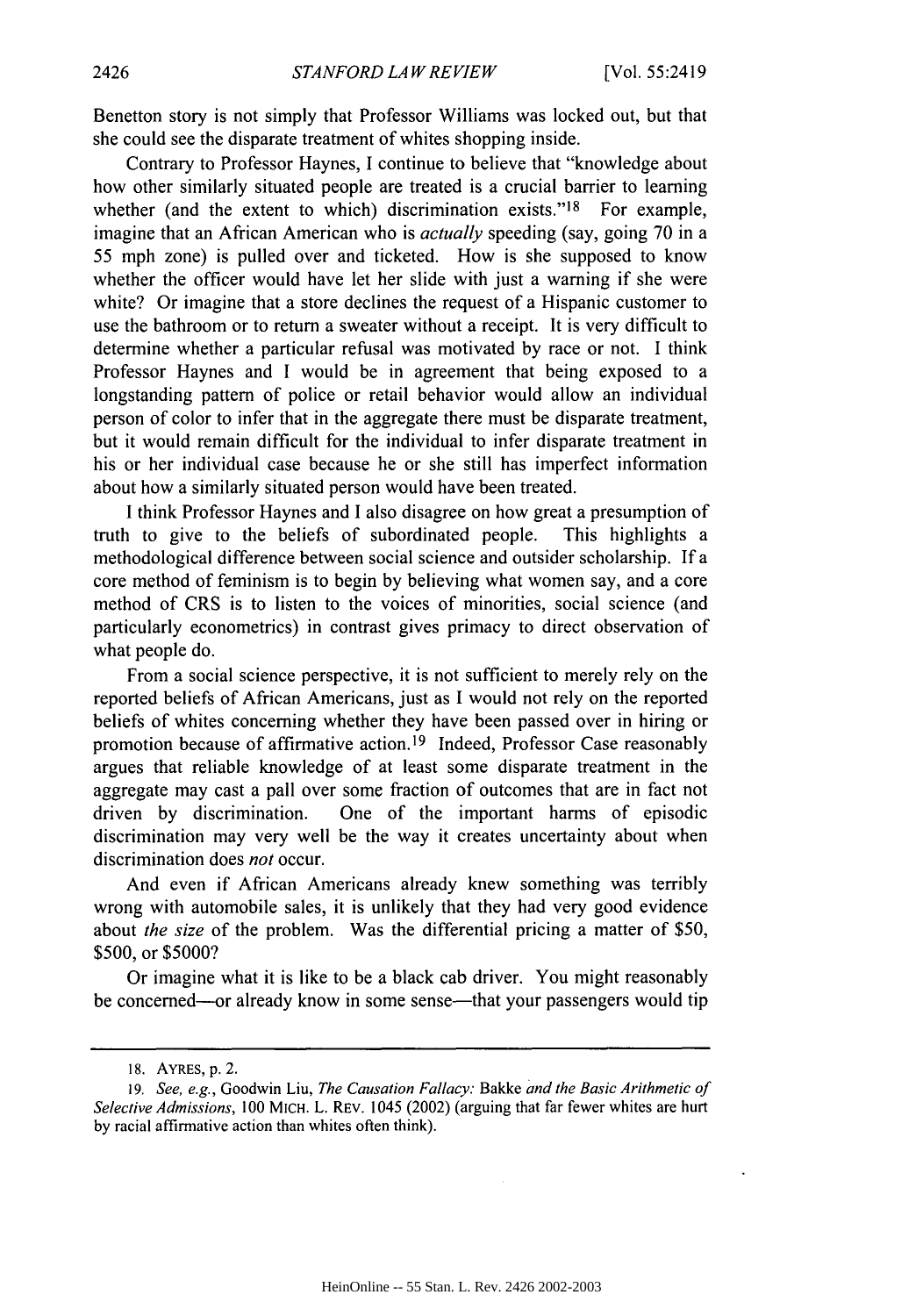Benetton story is not simply that Professor Williams was locked out, but that she could see the disparate treatment of whites shopping inside.

Contrary to Professor Haynes, I continue to believe that "knowledge about how other similarly situated people are treated is a crucial barrier to learning whether (and the extent to which) discrimination exists." $18$  For example, imagine that an African American who is *actually* speeding (say, going 70 in a 55 mph zone) is pulled over and ticketed. How is she supposed to know whether the officer would have let her slide with just a warning if she were white? Or imagine that a store declines the request of a Hispanic customer to use the bathroom or to return a sweater without a receipt. It is very difficult to determine whether a particular refusal was motivated by race or not. I think Professor Haynes and I would be in agreement that being exposed to a longstanding pattern of police or retail behavior would allow an individual person of color to infer that in the aggregate there must be disparate treatment, but it would remain difficult for the individual to infer disparate treatment in his or her individual case because he or she still has imperfect information about how a similarly situated person would have been treated.

I think Professor Haynes and I also disagree on how great a presumption of truth to give to the beliefs of subordinated people. This highlights a methodological difference between social science and outsider scholarship. **If** a core method of feminism is to begin by believing what women say, and a core method of CRS is to listen to the voices of minorities, social science (and particularly econometrics) in contrast gives primacy to direct observation of what people do.

From a social science perspective, it is not sufficient to merely rely on the reported beliefs of African Americans, just as I would not rely on the reported beliefs of whites concerning whether they have been passed over in hiring or promotion because of affirmative action.<sup>19</sup> Indeed, Professor Case reasonably argues that reliable knowledge of at least some disparate treatment in the aggregate may cast a pall over some fraction of outcomes that are in fact not driven by discrimination. One of the important harms of episodic discrimination may very well be the way it creates uncertainty about when discrimination does not occur.

And even if African Americans already knew something was terribly wrong with automobile sales, it is unlikely that they had very good evidence about *the size* of the problem. Was the differential pricing a matter of \$50, \$500, or \$5000?

Or imagine what it is like to be a black cab driver. You might reasonably be concerned—or already know in some sense—that your passengers would tip

<sup>18.</sup> AYRES, p. 2.

<sup>19.</sup> See, e.g., Goodwin Liu, *The* Causation *Fallacy:* Bakke *and the Basic Arithmetic of* Selective Admissions, 100 MICH. L. REV. 1045 (2002) (arguing that far fewer whites are hurt by racial affirmative action than whites often think).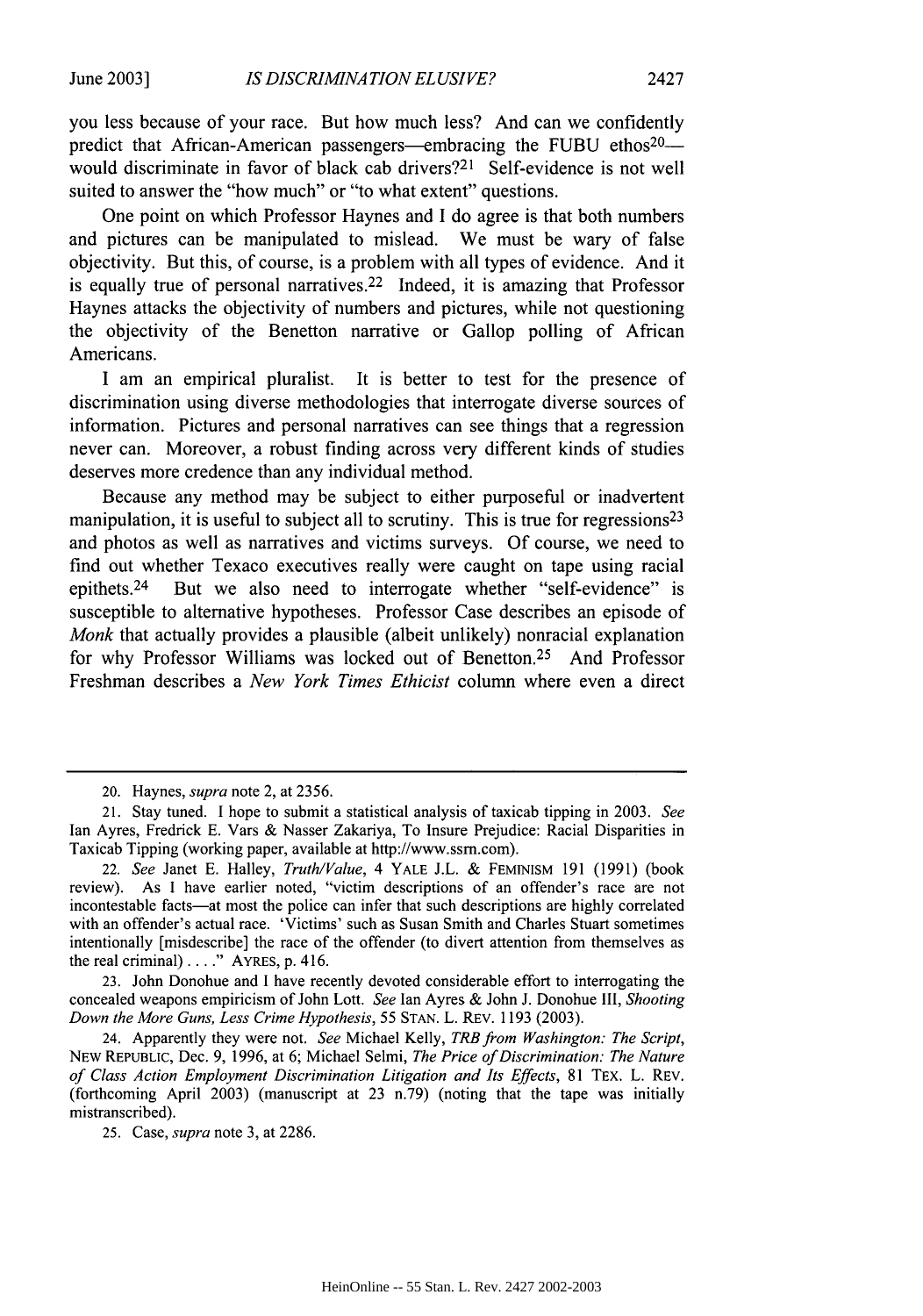you less because of your race. But how much less? And can we confidently predict that African-American passengers—embracing the FUBU ethos<sup>20</sup>would discriminate in favor of black cab drivers?<sup>21</sup> Self-evidence is not well suited to answer the "how much" or "to what extent" questions.

One point on which Professor Haynes and I do agree is that both numbers and pictures can be manipulated to mislead. We must be wary of false objectivity. But this, of course, is a problem with all types of evidence. And it is equally true of personal narratives. 22 Indeed, it is amazing that Professor Haynes attacks the objectivity of numbers and pictures, while not questioning the objectivity of the Benetton narrative or Gallop polling of African Americans.

I am an empirical pluralist. It is better to test for the presence of discrimination using diverse methodologies that interrogate diverse sources of information. Pictures and personal narratives can see things that a regression never can. Moreover, a robust finding across very different kinds of studies deserves more credence than any individual method.

Because any method may be subject to either purposeful or inadvertent manipulation, it is useful to subject all to scrutiny. This is true for regressions<sup>23</sup> and photos as well as narratives and victims surveys. Of course, we need to find out whether Texaco executives really were caught on tape using racial epithets. 24 But we also need to interrogate whether "self-evidence" is susceptible to alternative hypotheses. Professor Case describes an episode of *Monk* that actually provides a plausible (albeit unlikely) nonracial explanation for why Professor Williams was locked out of Benetton.<sup>25</sup> And Professor Freshman describes a *New York Times Ethicist* column where even a direct

23. John Donohue and I have recently devoted considerable effort to interrogating the concealed weapons empiricism of John Lott. *See* Ian Ayres & John J. Donohue lII, *Shooting Down the More Guns, Less Crime Hypothesis,* 55 STAN. L. REV. 1193 (2003).

24. Apparently they were not. *See* Michael Kelly, *TRBfrom Washington: The Script,* NEW REPUBLIC, Dec. 9, 1996, at 6; Michael Selmi, *The Price of Discrimination: The Nature of Class Action Employment Discrimination Litigation and Its Effects,* 81 TEX. L. REV. (forthcoming April 2003) (manuscript at 23 n.79) (noting that the tape was initially mistranscribed).

25. Case, *supra* note 3, at 2286.

<sup>20.</sup> Haynes, *supra* note 2, at 2356.

<sup>21.</sup> Stay tuned. I hope to submit a statistical analysis of taxicab tipping in 2003. *See* Ian Ayres, Fredrick **E.** Vars & Nasser Zakariya, To Insure Prejudice: Racial Disparities in Taxicab Tipping (working paper, available at http://www.ssm.com).

<sup>22.</sup> *See* Janet E. Halley, *Truth/Value,* 4 YALE J.L. & FEMINISM 191 (1991) (book review). As I have earlier noted, "victim descriptions of an offender's race are not incontestable facts-at most the police can infer that such descriptions are highly correlated with an offender's actual race. 'Victims' such as Susan Smith and Charles Stuart sometimes intentionally [misdescribe] the race of the offender (to divert attention from themselves as the real criminal) **.. "** AYRES, p. 416.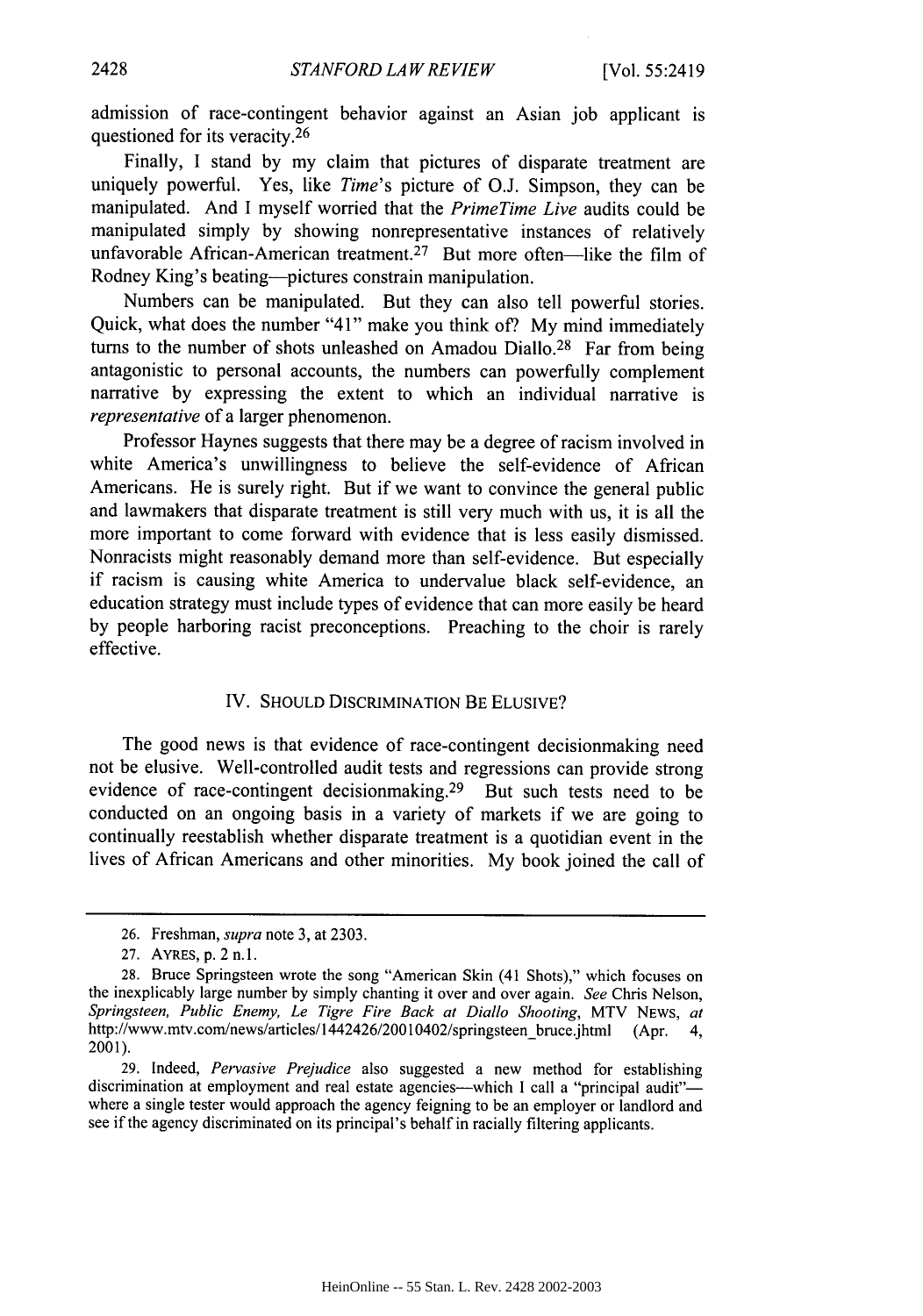admission of race-contingent behavior against an Asian job applicant is questioned for its veracity.<sup>26</sup>

Finally, I stand by my claim that pictures of disparate treatment are uniquely powerful. Yes, like *Time's* picture of O.J. Simpson, they can be manipulated. And I myself worried that the *PrimeTime Live* audits could be manipulated simply by showing nonrepresentative instances of relatively unfavorable African-American treatment.<sup>27</sup> But more often-like the film of Rodney King's beating--pictures constrain manipulation.

Numbers can be manipulated. But they can also tell powerful stories. Quick, what does the number "41" make you think of? My mind immediately turns to the number of shots unleashed on Amadou Diallo.<sup>28</sup> Far from being antagonistic to personal accounts, the numbers can powerfully complement narrative by expressing the extent to which an individual narrative is *representative* of a larger phenomenon.

Professor Haynes suggests that there may be a degree of racism involved in white America's unwillingness to believe the self-evidence of African Americans. He is surely right. But if we want to convince the general public and lawmakers that disparate treatment is still very much with us, it is all the more important to come forward with evidence that is less easily dismissed. Nonracists might reasonably demand more than self-evidence. But especially if racism is causing white America to undervalue black self-evidence, an education strategy must include types of evidence that can more easily be heard by people harboring racist preconceptions. Preaching to the choir is rarely effective.

## IV. SHOULD DISCRIMINATION BE ELUSIVE?

The good news is that evidence of race-contingent decisionmaking need not be elusive. Well-controlled audit tests and regressions can provide strong evidence of race-contingent decisionmaking.<sup>29</sup> But such tests need to be conducted on an ongoing basis in a variety of markets if we are going to continually reestablish whether disparate treatment is a quotidian event in the lives of African Americans and other minorities. My book joined the call of

<sup>26.</sup> Freshman, *supra* note 3, at 2303.

<sup>27.</sup> AYRES, p. 2 n.1.

<sup>28.</sup> Bruce Springsteen wrote the song "American Skin (41 Shots)," which focuses on the inexplicably large number by simply chanting it over and over again. *See* Chris Nelson, *Springsteen, Public Enemy, Le Tigre Fire* Back at Diallo *Shooting,* MTV NEWS, *at* http://www.mtv.com/news/articles/1442426/20010402/springsteen-bruce.jhtml (Apr. 4, 2001).

<sup>29.</sup> Indeed, *Pervasive Prejudice* also suggested a new method for establishing discrimination at employment and real estate agencies---which I call a "principal audit"where a single tester would approach the agency feigning to be an employer or landlord and see if the agency discriminated on its principal's behalf in racially filtering applicants.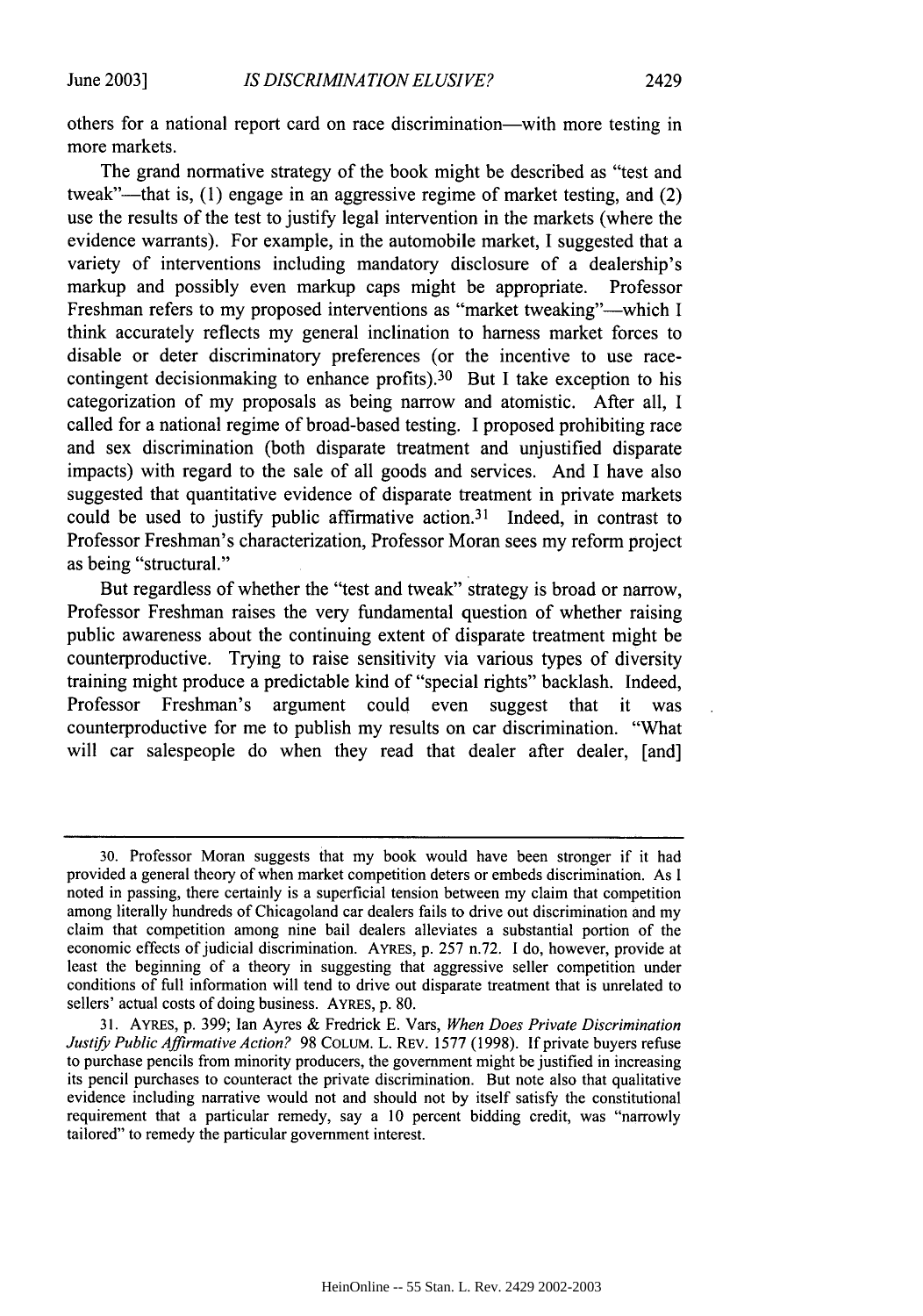others for a national report card on race discrimination-with more testing in more markets.

The grand normative strategy of the book might be described as "test and tweak"—that is, (1) engage in an aggressive regime of market testing, and (2) use the results of the test to justify legal intervention in the markets (where the evidence warrants). For example, in the automobile market, I suggested that a variety of interventions including mandatory disclosure of a dealership's markup and possibly even markup caps might be appropriate. Professor Freshman refers to my proposed interventions as "market tweaking"—which I think accurately reflects my general inclination to harness market forces to disable or deter discriminatory preferences (or the incentive to use racecontingent decisionmaking to enhance profits).<sup>30</sup> But I take exception to his categorization of my proposals as being narrow and atomistic. After all, I called for a national regime of broad-based testing. I proposed prohibiting race and sex discrimination (both disparate treatment and unjustified disparate impacts) with regard to the sale of all goods and services. And I have also suggested that quantitative evidence of disparate treatment in private markets could be used to justify public affirmative action.<sup>31</sup> Indeed, in contrast to Professor Freshman's characterization, Professor Moran sees my reform project as being "structural."

But regardless of whether the "test and tweak" strategy is broad or narrow, Professor Freshman raises the very fundamental question of whether raising public awareness about the continuing extent of disparate treatment might be counterproductive. Trying to raise sensitivity via various types of diversity training might produce a predictable kind of "special rights" backlash. Indeed, Professor Freshman's argument could even suggest that it was counterproductive for me to publish my results on car discrimination. "What will car salespeople do when they read that dealer after dealer, [and]

<sup>30.</sup> Professor Moran suggests that my book would have been stronger if it had provided a general theory of when market competition deters or embeds discrimination. As I noted in passing, there certainly is a superficial tension between my claim that competition among literally hundreds of Chicagoland car dealers fails to drive out discrimination and my claim that competition among nine bail dealers alleviates a substantial portion of the economic effects of judicial discrimination. AYRES, p. 257 n.72. I do, however, provide at least the beginning of a theory in suggesting that aggressive seller competition under conditions of full information will tend to drive out disparate treatment that is unrelated to sellers' actual costs of doing business. AYRES, p. 80.

<sup>31.</sup> AYRES, p. 399; lan Ayres & Fredrick E. Vars, *When Does Private Discrimination Justify Public Affirmative Action?* 98 COLUM. L. REV. 1577 (1998). If private buyers refuse to purchase pencils from minority producers, the government might be justified in increasing its pencil purchases to counteract the private discrimination. But note also that qualitative evidence including narrative would not and should not by itself satisfy the constitutional requirement that a particular remedy, say a 10 percent bidding credit, was "narrowly tailored" to remedy the particular government interest.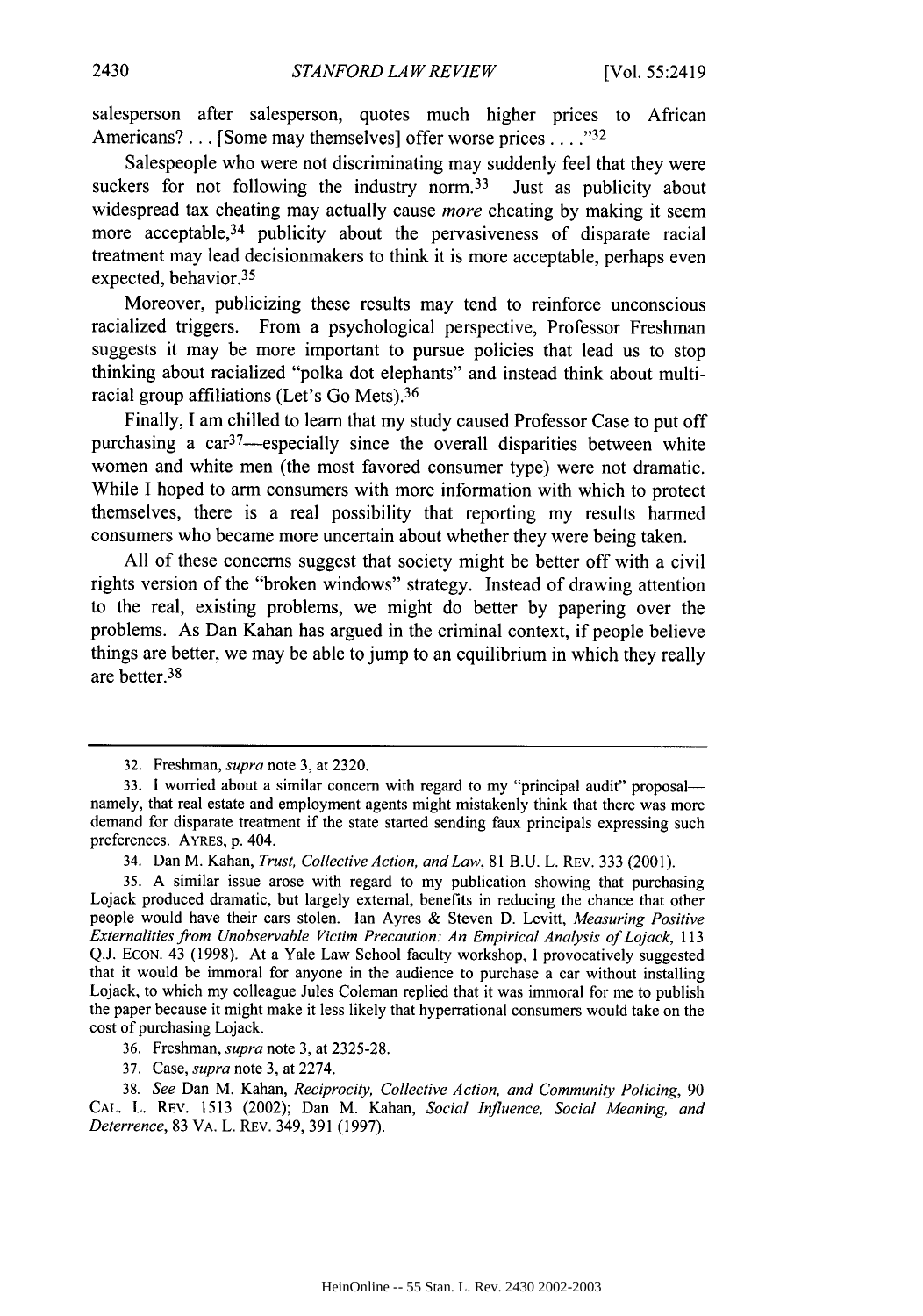salesperson after salesperson, quotes much higher prices to African Americans? . . . [Some may themselves] offer worse prices . . . .<sup>32</sup>

Salespeople who were not discriminating may suddenly feel that they were suckers for not following the industry norm.<sup>33</sup> Just as publicity about widespread tax cheating may actually cause *more* cheating by making it seem more acceptable.<sup>34</sup> publicity about the pervasiveness of disparate racial treatment may lead decisionmakers to think it is more acceptable, perhaps even expected, behavior.<sup>35</sup>

Moreover, publicizing these results may tend to reinforce unconscious racialized triggers. From a psychological perspective, Professor Freshman suggests it may be more important to pursue policies that lead us to stop thinking about racialized "polka dot elephants" and instead think about multiracial group affiliations (Let's Go Mets). <sup>36</sup>

Finally, I am chilled to learn that my study caused Professor Case to put off purchasing a  $\text{car}^{37}$ —especially since the overall disparities between white women and white men (the most favored consumer type) were not dramatic. While I hoped to arm consumers with more information with which to protect themselves, there is a real possibility that reporting my results harmed consumers who became more uncertain about whether they were being taken.

All of these concerns suggest that society might be better off with a civil rights version of the "broken windows" strategy. Instead of drawing attention to the real, existing problems, we might do better by papering over the problems. As Dan Kahan has argued in the criminal context, if people believe things are better, we may be able to jump to an equilibrium in which they really are better. <sup>38</sup>

<sup>32.</sup> Freshman, *supra* note 3, at 2320.

<sup>33.</sup> **1** worried about a similar concern with regard to my "principal audit" proposalnamely, that real estate and employment agents might mistakenly think that there was more demand for disparate treatment if the state started sending faux principals expressing such preferences. AYRES, p. 404.

<sup>34.</sup> Dan M. Kahan, *Trust, Collective Action, and Law,* 81 B.U. L. REV. 333 (2001).

<sup>35.</sup> A similar issue arose with regard to my publication showing that purchasing Lojack produced dramatic, but largely external, benefits in reducing the chance that other people would have their cars stolen. Ian Ayres & Steven D. Levitt, *Measuring Positive Externalities from Unobservable Victim Precaution: An Empirical Analysis of Lojack,* <sup>113</sup> Q.J. ECON. 43 (1998). At a Yale Law School faculty workshop, **I** provocatively suggested that it would be immoral for anyone in the audience to purchase a car without installing Lojack, to which my colleague Jules Coleman replied that it was immoral for me to publish the paper because it might make it less likely that hyperrational consumers would take on the cost of purchasing Lojack.

<sup>36.</sup> Freshman, *supra* note 3, at 2325-28.

<sup>37.</sup> Case, *supra* note 3, at 2274.

<sup>38.</sup> *See* Dan M. Kahan, *Reciprocity, Collective Action, and Community Policing,* 90 CAL. L. REV. 1513 (2002); Dan M. Kahan, *Social Influence, Social Meaning, and Deterrence,* 83 VA. L. REV. 349, 391 (1997).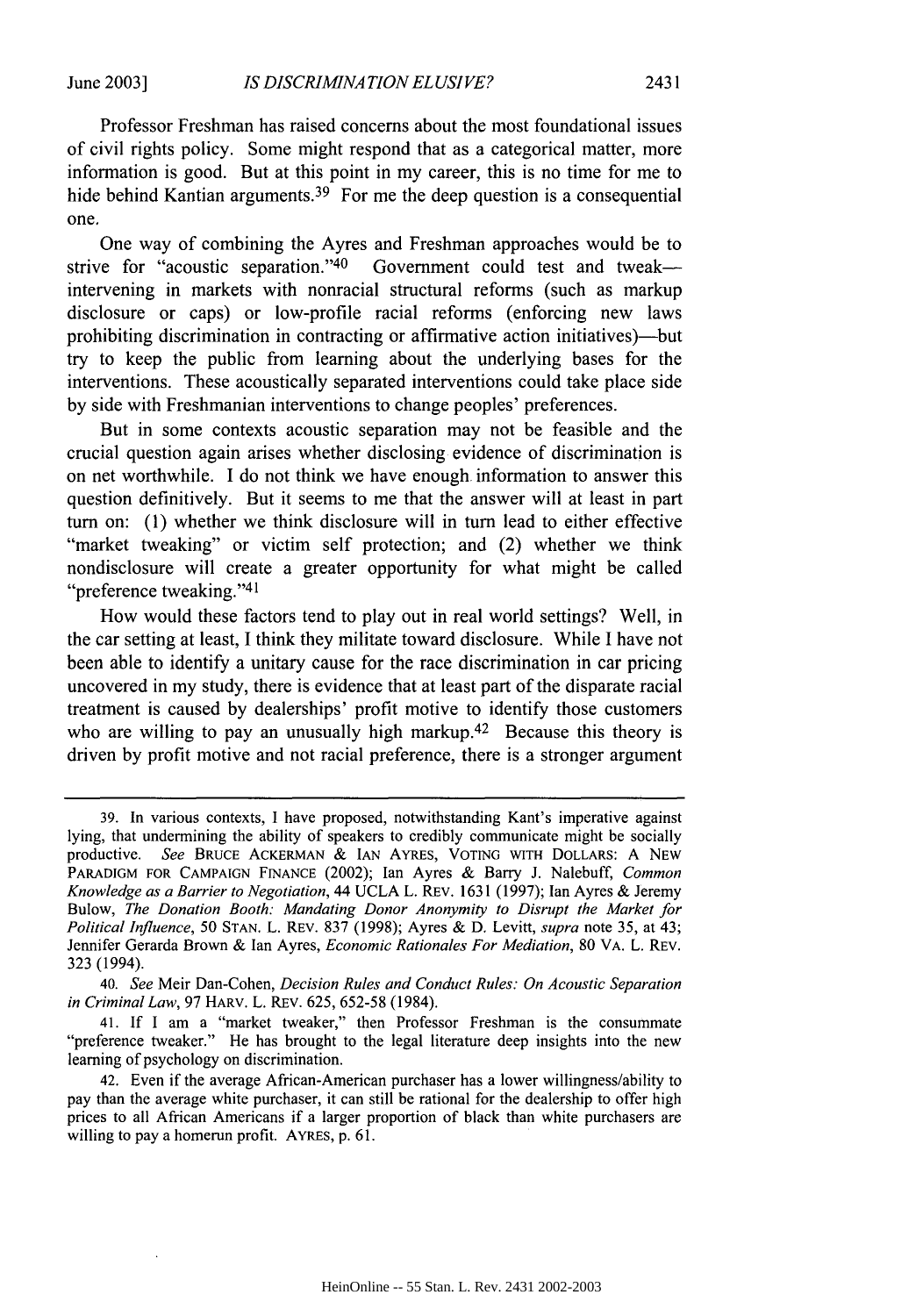Professor Freshman has raised concerns about the most foundational issues of civil rights policy. Some might respond that as a categorical matter, more information is good. But at this point in my career, this is no time for me to hide behind Kantian arguments.<sup>39</sup> For me the deep question is a consequential one.

One way of combining the Ayres and Freshman approaches would be to strive for "acoustic separation."<sup>40</sup> Government could test and tweakintervening in markets with nonracial structural reforms (such as markup disclosure or caps) or low-profile racial reforms (enforcing new laws prohibiting discrimination in contracting or affirmative action initiatives)—but try to keep the public from learning about the underlying bases for the interventions. These acoustically separated interventions could take place side by side with Freshmanian interventions to change peoples' preferences.

But in some contexts acoustic separation may not be feasible and the crucial question again arises whether disclosing evidence of discrimination is on net worthwhile. I do not think we have enough information to answer this question definitively. But it seems to me that the answer will at least in part turn on: (1) whether we think disclosure will in turn lead to either effective "market tweaking" or victim self protection; and (2) whether we think nondisclosure will create a greater opportunity for what might be called "preference tweaking."<sup>41</sup>

How would these factors tend to play out in real world settings? Well, in the car setting at least, I think they militate toward disclosure. While I have not been able to identify a unitary cause for the race discrimination in car pricing uncovered in my study, there is evidence that at least part of the disparate racial treatment is caused by dealerships' profit motive to identify those customers who are willing to pay an unusually high markup.<sup>42</sup> Because this theory is driven by profit motive and not racial preference, there is a stronger argument

<sup>39.</sup> In various contexts, I have proposed, notwithstanding Kant's imperative against lying, that undermining the ability of speakers to credibly communicate might be socially productive. *See* BRUCE ACKERMAN & IAN AYRES, VOTING WITH DOLLARS: A NEW PARADIGM FOR CAMPAIGN FINANCE (2002); Ian Ayres & Barry J. Nalebuff, *Common Knowledge as a Barrier to Negotiation,* 44 UCLA L. REV. 1631 (1997); Ian Ayres & Jeremy Bulow, *The Donation Booth: Mandating Donor Anonymity to Disrupt the Market for Political Influence,* 50 STAN. L. REV. 837 (1998); Ayres & D. Levitt, *supra* note 35, at 43; Jennifer Gerarda Brown & Ian Ayres, *Economic Rationales For Mediation,* 80 VA. L. REV. 323 (1994).

<sup>40.</sup> *See* Meir Dan-Cohen, *Decision Rules and Conduct Rules: On Acoustic Separation in Criminal Law,* 97 HARV. L. REV. 625, 652-58 (1984).

<sup>41.</sup> If I am a "market tweaker," then Professor Freshman is the consummate "preference tweaker." He has brought to the legal literature deep insights into the new learning of psychology on discrimination.

<sup>42.</sup> Even if the average African-American purchaser has a lower willingness/ability to pay than the average white purchaser, it can still be rational for the dealership to offer high prices to all African Americans if a larger proportion of black than white purchasers are willing to pay a homerun profit. AYRES, p. 61.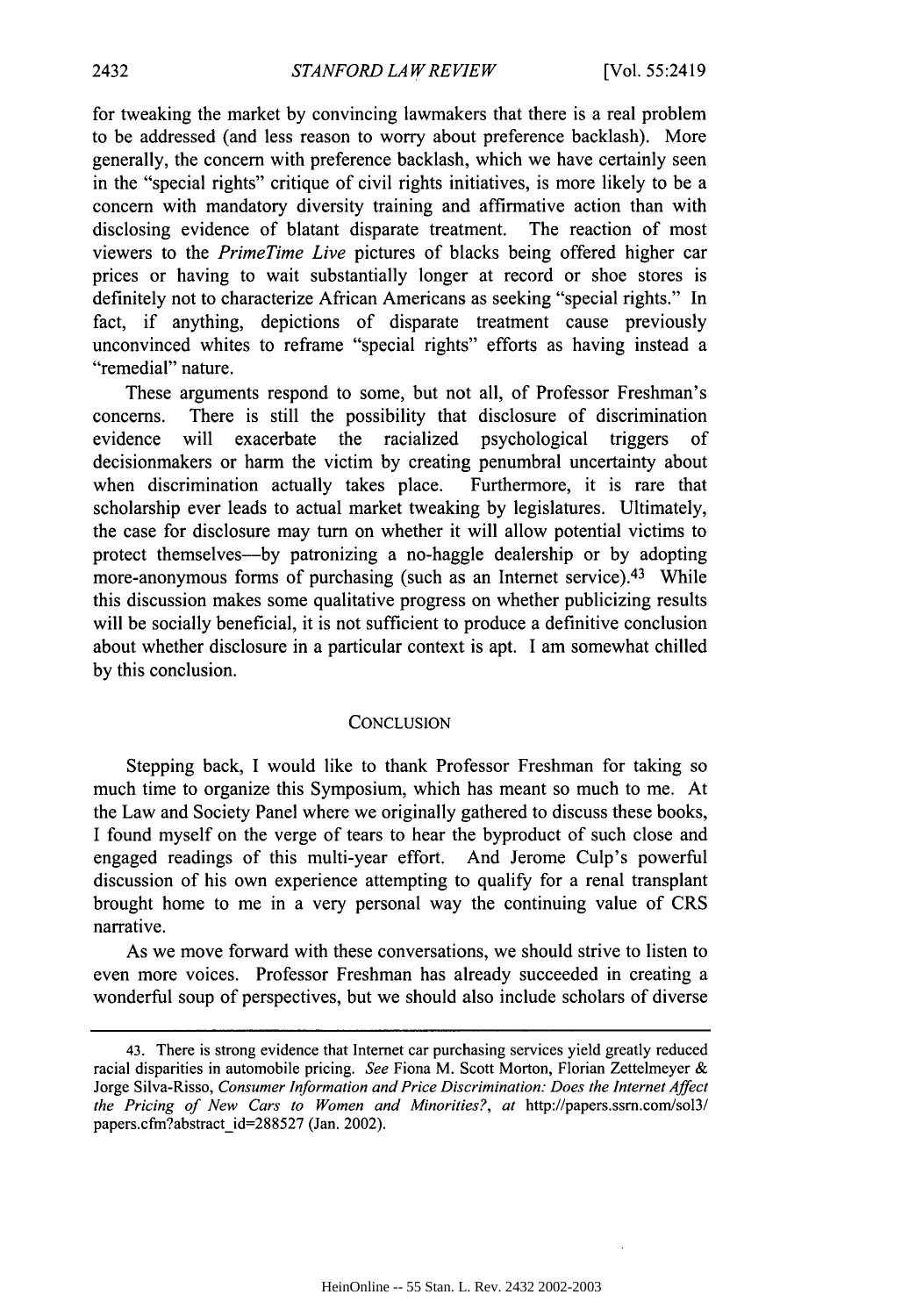for tweaking the market by convincing lawmakers that there is a real problem to be addressed (and less reason to worry about preference backlash). More generally, the concern with preference backlash, which we have certainly seen in the "special rights" critique of civil rights initiatives, is more likely to be a concern with mandatory diversity training and affirmative action than with disclosing evidence of blatant disparate treatment. The reaction of most viewers to the *PrimeTime Live* pictures of blacks being offered higher car prices or having to wait substantially longer at record or shoe stores is definitely not to characterize African Americans as seeking "special rights." In fact, if anything, depictions of disparate treatment cause previously unconvinced whites to reframe "special rights" efforts as having instead a "remedial" nature.

These arguments respond to some, but not all, of Professor Freshman's concerns. There is still the possibility that disclosure of discrimination evidence will exacerbate the racialized psychological triggers of decisionmakers or harm the victim by creating penumbral uncertainty about when discrimination actually takes place. Furthermore, it is rare that scholarship ever leads to actual market tweaking by legislatures. Ultimately, the case for disclosure may turn on whether it will allow potential victims to protect themselves-by patronizing a no-haggle dealership or by adopting more-anonymous forms of purchasing (such as an Internet service).<sup>43</sup> While this discussion makes some qualitative progress on whether publicizing results will be socially beneficial, it is not sufficient to produce a definitive conclusion about whether disclosure in a particular context is apt. I am somewhat chilled by this conclusion.

#### **CONCLUSION**

Stepping back, I would like to thank Professor Freshman for taking so much time to organize this Symposium, which has meant so much to me. At the Law and Society Panel where we originally gathered to discuss these books, I found myself on the verge of tears to hear the byproduct of such close and engaged readings of this multi-year effort. And Jerome Culp's powerful discussion of his own experience attempting to qualify for a renal transplant brought home to me in a very personal way the continuing value of CRS narrative.

As we move forward with these conversations, we should strive to listen to even more voices. Professor Freshman has already succeeded in creating a wonderful soup of perspectives, but we should also include scholars of diverse

<sup>43.</sup> There is strong evidence that Internet car purchasing services yield greatly reduced racial disparities in automobile pricing. *See* Fiona M. Scott Morton, Florian Zettelmeyer & Jorge Silva-Risso, *Consumer Information and Price Discrimination: Does the Internet Affect the Pricing of New Cars to Women and Minorities?, at* http://papers.ssm.com/sol3/ papers.cfm?abstract\_id=288527 (Jan. 2002).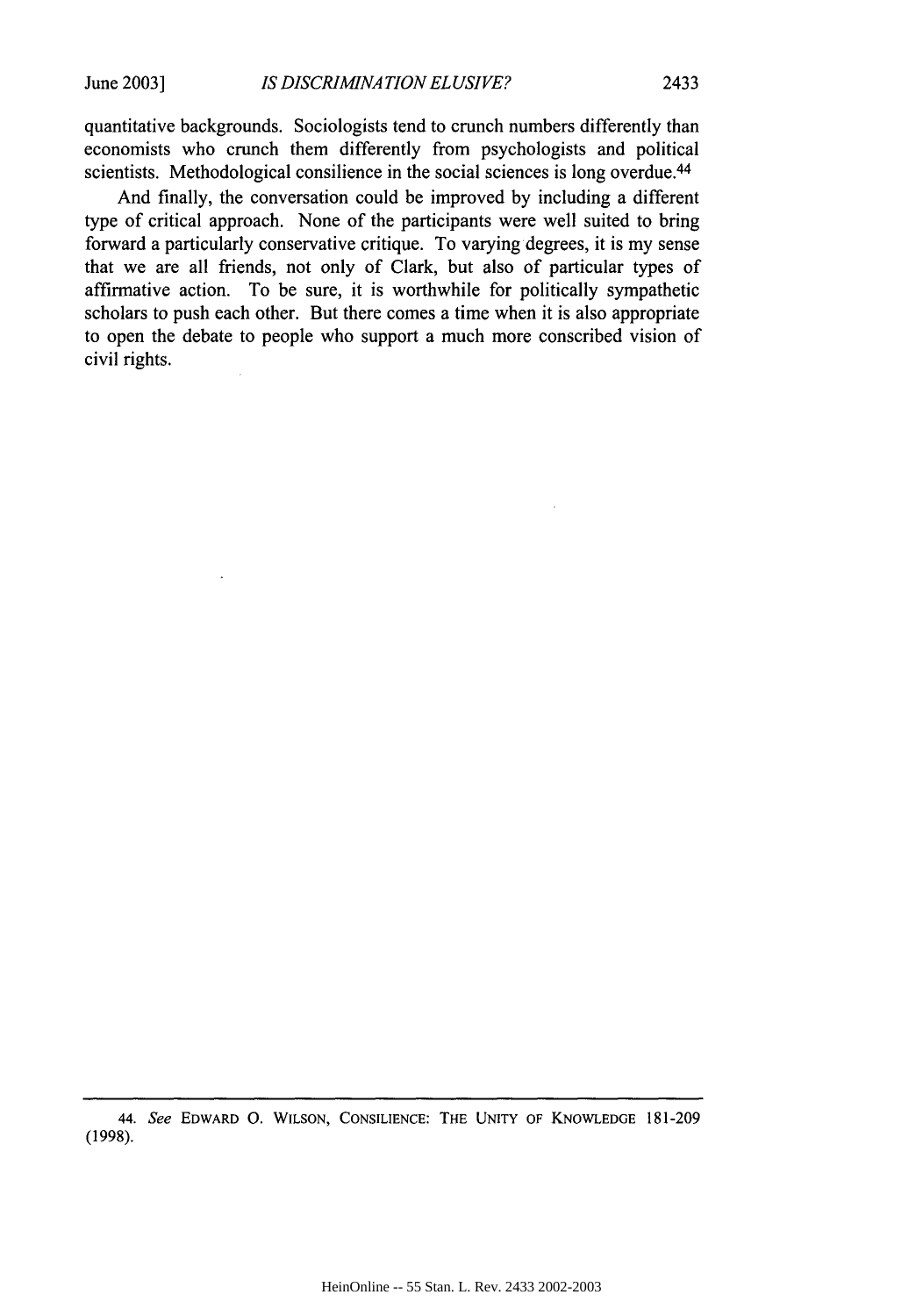quantitative backgrounds. Sociologists tend to crunch numbers differently than economists who crunch them differently from psychologists and political scientists. Methodological consilience in the social sciences is long overdue.<sup>44</sup>

And finally, the conversation could be improved by including a different type of critical approach. None of the participants were well suited to bring forward a particularly conservative critique. To varying degrees, it is my sense that we are all friends, not only of Clark, but also of particular types of affirmative action. To be sure, it is worthwhile for politically sympathetic scholars to push each other. But there comes a time when it is also appropriate to open the debate to people who support a much more conscribed vision of civil rights.

<sup>44.</sup> See EDWARD **0. WILSON, CONSILIENCE:** THE **UNITY** OF KNOWLEDGE 181-209 (1998).